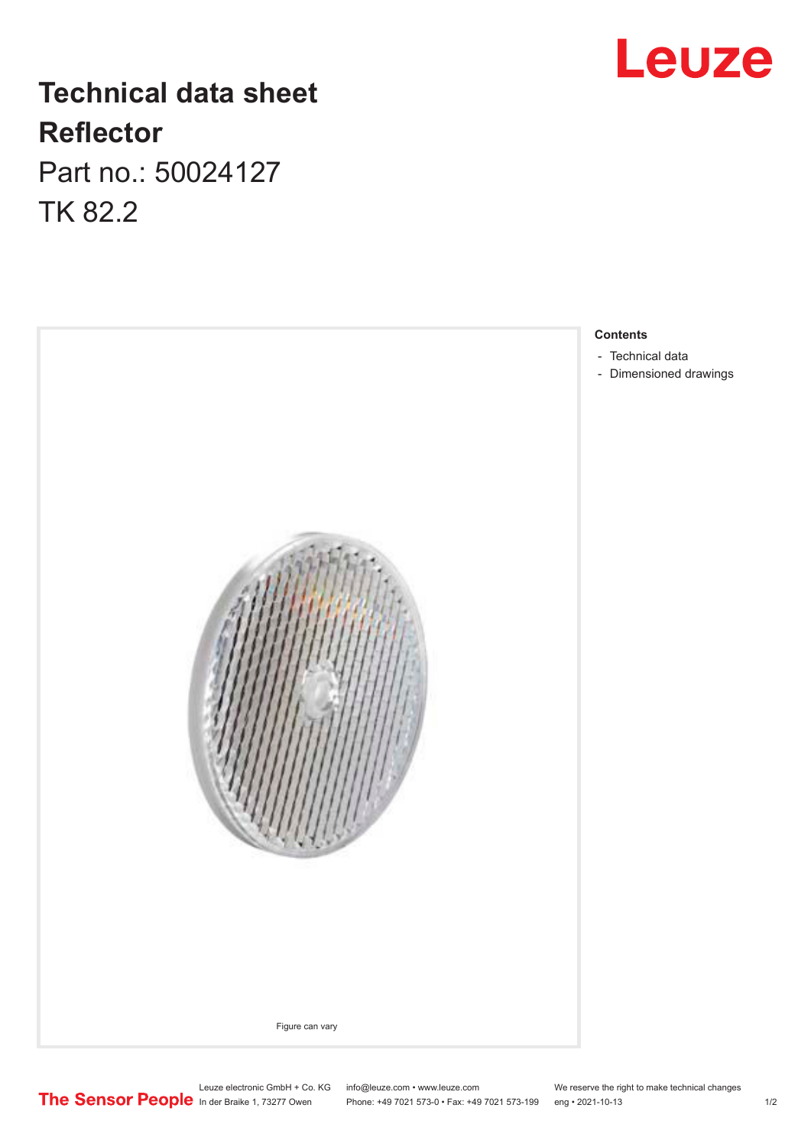## **Leuze**

## **Technical data sheet Reflector**

Part no.: 50024127 TK 82.2



- [Technical data](#page-1-0)
- [Dimensioned drawings](#page-1-0)

Leuze electronic GmbH + Co. KG info@leuze.com • www.leuze.com We reserve the right to make technical changes